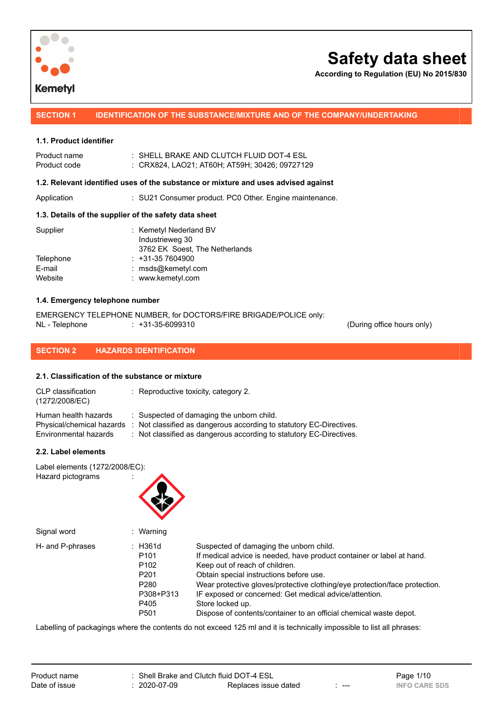

**According to Regulation (EU) No 2015/830**

**SECTION 1 IDENTIFICATION OF THE SUBSTANCE/MIXTURE AND OF THE COMPANY/UNDERTAKING**

### **1.1. Product identifier**

| Product name<br>Product code | : SHELL BRAKE AND CLUTCH FLUID DOT-4 ESL<br>: CRX824. LAO21: AT60H: AT59H: 30426: 09727129 |
|------------------------------|--------------------------------------------------------------------------------------------|
|                              | 1.2. Relevant identified uses of the substance or mixture and uses advised against         |
| $A = -11 - 11 - $            |                                                                                            |

# Application : SU21 Consumer product. PC0 Other. Engine maintenance.

### **1.3. Details of the supplier of the safety data sheet**

|           | : Kemetyl Nederland BV         |
|-----------|--------------------------------|
|           | Industrieweg 30                |
|           | 3762 EK Soest, The Netherlands |
| Telephone | $: +31-357604900$              |
|           | : msds@kemetyl.com             |
|           | : www.kemetyl.com              |
|           |                                |

### **1.4. Emergency telephone number**

EMERGENCY TELEPHONE NUMBER, for DOCTORS/FIRE BRIGADE/POLICE only: NL - Telephone : +31-35-6099310 (During office hours only)

### **SECTION 2 HAZARDS IDENTIFICATION**

### **2.1. Classification of the substance or mixture**

| CLP classification<br>(1272/2008/EC) | $\therefore$ Reproductive toxicity, category 2.                     |
|--------------------------------------|---------------------------------------------------------------------|
| Human health hazards                 | : Suspected of damaging the unborn child.                           |
| Physical/chemical hazards            | : Not classified as dangerous according to statutory EC-Directives. |
| Environmental hazards                | : Not classified as dangerous according to statutory EC-Directives. |

### **2.2. Label elements**

Label elements (1272/2008/EC): Hazard pictograms :



| Signal word      | : Warning          |                                                                            |
|------------------|--------------------|----------------------------------------------------------------------------|
| H- and P-phrases | $\therefore$ H361d | Suspected of damaging the unborn child.                                    |
|                  | P <sub>101</sub>   | If medical advice is needed, have product container or label at hand.      |
|                  | P <sub>102</sub>   | Keep out of reach of children.                                             |
|                  | P <sub>201</sub>   | Obtain special instructions before use.                                    |
|                  | P <sub>280</sub>   | Wear protective gloves/protective clothing/eye protection/face protection. |
|                  | P308+P313          | IF exposed or concerned: Get medical advice/attention.                     |
|                  | P405               | Store locked up.                                                           |
|                  | P <sub>501</sub>   | Dispose of contents/container to an official chemical waste depot.         |

Labelling of packagings where the contents do not exceed 125 ml and it is technically impossible to list all phrases:

|               | Product name |
|---------------|--------------|
| Date of issue |              |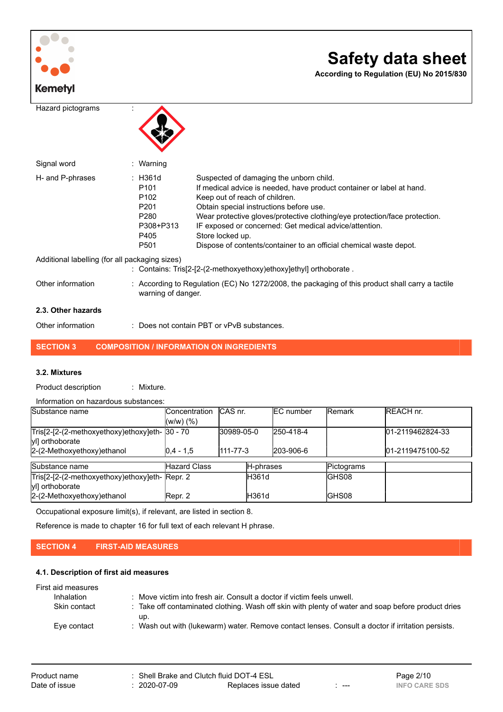

Other information : Does not contain PBT or vPvB substances.

# **SECTION 3 COMPOSITION / INFORMATION ON INGREDIENTS**

### **3.2. Mixtures**

Product description : Mixture.

| Information on hazardous substances:                                                             |                                 |                        |           |                        |               |                                      |
|--------------------------------------------------------------------------------------------------|---------------------------------|------------------------|-----------|------------------------|---------------|--------------------------------------|
| Substance name                                                                                   | Concentration<br>$(W/W)$ $(\%)$ | ICAS nr.               |           | <b>IEC</b> number      | <b>Remark</b> | <b>REACH nr.</b>                     |
| Tris[2-[2-(2-methoxyethoxy)ethoxy]eth- 30 - 70<br>yl] orthoborate<br>2-(2-Methoxyethoxy) ethanol | $ 0.4 - 1.5 $                   | 30989-05-0<br>111-77-3 |           | 250-418-4<br>203-906-6 |               | 01-2119462824-33<br>01-2119475100-52 |
| Substance name                                                                                   | <b>Hazard Class</b>             |                        | H-phrases |                        | Pictograms    |                                      |
| Tris[2-[2-(2-methoxyethoxy)ethoxy]eth-Repr. 2<br>yl] orthoborate                                 |                                 |                        | lH361d    |                        | IGHS08        |                                      |
| 2-(2-Methoxyethoxy) ethanol                                                                      | Repr. 2                         |                        | lH361d    |                        | IGHS08        |                                      |

Occupational exposure limit(s), if relevant, are listed in section 8.

Reference is made to chapter 16 for full text of each relevant H phrase.

### **SECTION 4 FIRST-AID MEASURES**

### **4.1. Description of first aid measures**

| First aid measures |                                                                                                          |
|--------------------|----------------------------------------------------------------------------------------------------------|
| Inhalation         | : Move victim into fresh air. Consult a doctor if victim feels unwell.                                   |
| Skin contact       | : Take off contaminated clothing. Wash off skin with plenty of water and soap before product dries       |
| Eve contact        | up.<br>: Wash out with (lukewarm) water. Remove contact lenses. Consult a doctor if irritation persists. |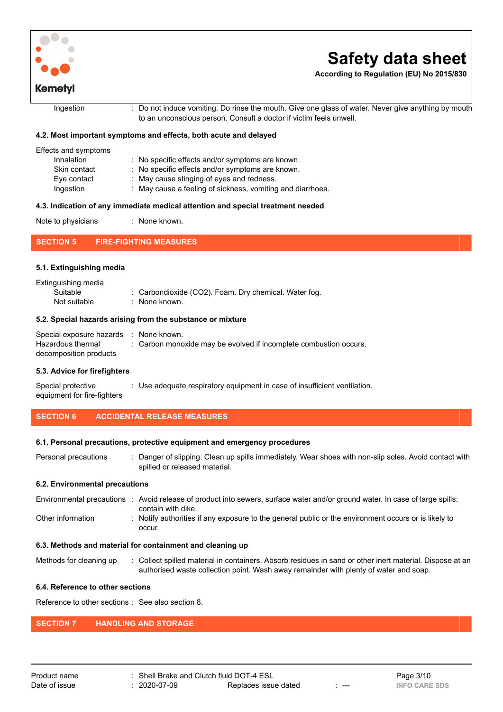

**According to Regulation (EU) No 2015/830**

Ingestion : Do not induce vomiting. Do rinse the mouth. Give one glass of water. Never give anything by mouth to an unconscious person. Consult a doctor if victim feels unwell.

### **4.2. Most important symptoms and effects, both acute and delayed**

| Effects and symptoms |                                                            |
|----------------------|------------------------------------------------------------|
| Inhalation           | : No specific effects and/or symptoms are known.           |
| Skin contact         | : No specific effects and/or symptoms are known.           |
| Eve contact          | : May cause stinging of eyes and redness.                  |
| Ingestion            | : May cause a feeling of sickness, vomiting and diarrhoea. |
|                      |                                                            |

### **4.3. Indication of any immediate medical attention and special treatment needed**

| Note to physicians | None known. |
|--------------------|-------------|
|--------------------|-------------|

**SECTION 5 FIRE-FIGHTING MEASURES**

### **5.1. Extinguishing media**

| Extinguishing media |                                                       |
|---------------------|-------------------------------------------------------|
| Suitable            | : Carbondioxide (CO2). Foam. Dry chemical. Water fog. |
| Not suitable        | : None known.                                         |

#### **5.2. Special hazards arising from the substance or mixture**

| Special exposure hazards : None known. |                                                                   |
|----------------------------------------|-------------------------------------------------------------------|
| Hazardous thermal                      | : Carbon monoxide may be evolved if incomplete combustion occurs. |
| decomposition products                 |                                                                   |

#### **5.3. Advice for firefighters**

Special protective equipment for fire-fighters : Use adequate respiratory equipment in case of insufficient ventilation.

### **SECTION 6 ACCIDENTAL RELEASE MEASURES**

#### **6.1. Personal precautions, protective equipment and emergency procedures**

Personal precautions : Danger of slipping. Clean up spills immediately. Wear shoes with non-slip soles. Avoid contact with spilled or released material.

### **6.2. Environmental precautions**

| Environmental precautions | : Avoid release of product into sewers, surface water and/or ground water. In case of large spills:  |
|---------------------------|------------------------------------------------------------------------------------------------------|
|                           | contain with dike.                                                                                   |
| Other information         | : Notify authorities if any exposure to the general public or the environment occurs or is likely to |
|                           | occur.                                                                                               |

### **6.3. Methods and material for containment and cleaning up**

Methods for cleaning up : Collect spilled material in containers. Absorb residues in sand or other inert material. Dispose at an authorised waste collection point. Wash away remainder with plenty of water and soap.

### **6.4. Reference to other sections**

Reference to other sections : See also section 8.

### **SECTION 7 HANDLING AND STORAGE**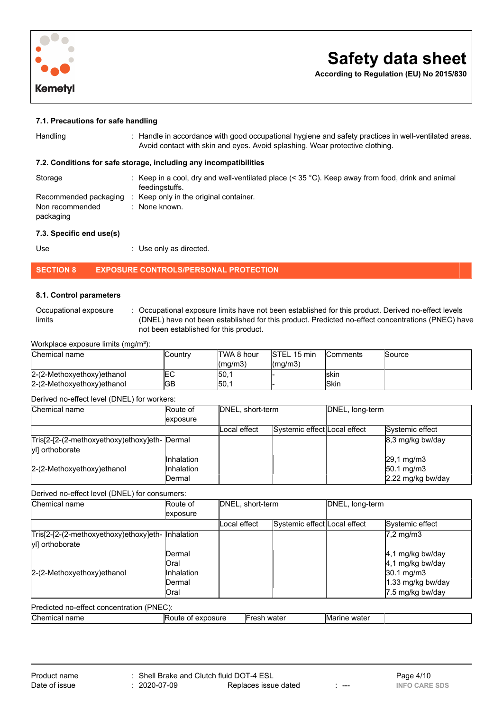

**According to Regulation (EU) No 2015/830**

### **7.1. Precautions for safe handling**

|  | Handling |
|--|----------|
|  |          |
|  |          |

: Handle in accordance with good occupational hygiene and safety practices in well-ventilated areas. Avoid contact with skin and eyes. Avoid splashing. Wear protective clothing.

### **7.2. Conditions for safe storage, including any incompatibilities**

| Storage                                               | : Keep in a cool, dry and well-ventilated place $(< 35 °C)$ . Keep away from food, drink and animal<br>feedingstuffs. |
|-------------------------------------------------------|-----------------------------------------------------------------------------------------------------------------------|
| Recommended packaging<br>Non recommended<br>packaging | Keep only in the original container.<br>: None known.                                                                 |

### **7.3. Specific end use(s)**

Use : Use only as directed.

### **SECTION 8 EXPOSURE CONTROLS/PERSONAL PROTECTION**

### **8.1. Control parameters**

| Occupational exposure | Occupational exposure limits have not been established for this product. Derived no-effect levels |
|-----------------------|---------------------------------------------------------------------------------------------------|
| limits                | (DNEL) have not been established for this product. Predicted no-effect concentrations (PNEC) have |
|                       | not been established for this product.                                                            |

Workplace exposure limits (mg/m<sup>3</sup>):

| Chemical name               | Country | TWA 8 hour            | <b>STEL 15 min</b> | <b>Comments</b> | <b>Source</b> |
|-----------------------------|---------|-----------------------|--------------------|-----------------|---------------|
|                             |         | $\frac{1}{2}$ (mg/m3) | $\lfloor$ (mg/m3)  |                 |               |
| 2-(2-Methoxyethoxy) ethanol | └       | 50.1                  |                    | <b>Iskin</b>    |               |
| 2-(2-Methoxyethoxy) ethanol | GВ      | 50.1                  |                    | <b>ISkin</b>    |               |

#### Derived no-effect level (DNEL) for workers:

| Chemical name                                                    | Route of                                         | DNEL, short-term |                              | DNEL, long-term |                                                          |
|------------------------------------------------------------------|--------------------------------------------------|------------------|------------------------------|-----------------|----------------------------------------------------------|
|                                                                  | <i>exposure</i>                                  |                  |                              |                 |                                                          |
|                                                                  |                                                  | Local effect     | Systemic effect Local effect |                 | Systemic effect                                          |
| Tris[2-[2-(2-methoxyethoxy)ethoxy]eth- Dermal<br>yl] orthoborate |                                                  |                  |                              |                 | $ 8,3 \text{ mg/kg}$ bw/day                              |
| 2-(2-Methoxyethoxy) ethanol                                      | <b>Inhalation</b><br><b>Inhalation</b><br>Dermal |                  |                              |                 | 29,1 mg/m3<br>$50.1 \text{ mg/m}$ 3<br>2.22 mg/kg bw/day |

### Derived no-effect level (DNEL) for consumers:

| Chemical name                                                                     | Route of                        |              | DNEL, short-term             |              | DNEL, long-term                                    |  |
|-----------------------------------------------------------------------------------|---------------------------------|--------------|------------------------------|--------------|----------------------------------------------------|--|
|                                                                                   | exposure                        |              |                              |              |                                                    |  |
|                                                                                   |                                 | Local effect | Systemic effect Local effect |              | Systemic effect                                    |  |
| Tris <sup>[2-</sup> [2-(2-methoxyethoxy)ethoxy]eth- Inhalation<br>yl] orthoborate |                                 |              |                              |              | $ 7,2 \text{ mg/m}$ 3                              |  |
| 2-(2-Methoxyethoxy) ethanol                                                       | IDermal<br>lOral<br>llnhalation |              |                              |              | 4,1 mg/kg bw/day<br>4,1 mg/kg bw/day<br>30.1 mg/m3 |  |
|                                                                                   | IDermal<br>lOral                |              |                              |              | 1.33 mg/kg bw/day<br>7.5 mg/kg bw/day              |  |
| Predicted no-effect concentration (PNEC):                                         |                                 |              |                              |              |                                                    |  |
| Chemical name                                                                     | Route of exposure               | Fresh water  |                              | Marine water |                                                    |  |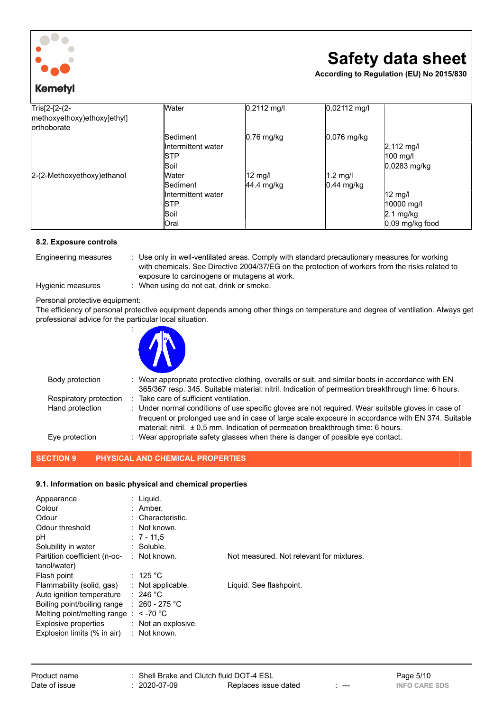

# **Kemetyl**

# **Safety data sheet**

**According to Regulation (EU) No 2015/830**

| Tris[2-[2-(2-<br>methoxyethoxy)ethoxy]ethyl]<br>lorthoborate | <b>Water</b>       | $0,2112$ mg/l          | 0,02112 mg/l  |                      |
|--------------------------------------------------------------|--------------------|------------------------|---------------|----------------------|
|                                                              | <b>Sediment</b>    | $ 0,76 \text{ mg/kg} $ | $0,076$ mg/kg |                      |
|                                                              | Intermittent water |                        |               | $2,112 \text{ mg/l}$ |
|                                                              | <b>STP</b>         |                        |               | 100 mg/l             |
|                                                              | Soil               |                        |               | 0,0283 mg/kg         |
| 2-(2-Methoxyethoxy)ethanol                                   | <b>Water</b>       | 12 mg/l                | $1.2$ mg/l    |                      |
|                                                              | <b>Sediment</b>    | $ 44.4 \text{ mg/kg} $ | $0.44$ mg/kg  |                      |
|                                                              | Intermittent water |                        |               | $12 \text{ mg/l}$    |
|                                                              | <b>ISTP</b>        |                        |               | 10000 mg/l           |
|                                                              | Soil               |                        |               | $2.1 \text{ mg/kg}$  |
|                                                              | <b>Oral</b>        |                        |               | $0.09$ mg/kg food    |

### **8.2. Exposure controls**

Engineering measures : Use only in well-ventilated areas. Comply with standard precautionary measures for working with chemicals. See Directive 2004/37/EG on the protection of workers from the risks related to exposure to carcinogens or mutagens at work.

Hygienic measures : When using do not eat, drink or smoke.

Personal protective equipment:

The efficiency of personal protective equipment depends among other things on temperature and degree of ventilation. Always get professional advice for the particular local situation.



:

| Body protection        | : Wear appropriate protective clothing, overalls or suit, and similar boots in accordance with EN<br>365/367 resp. 345. Suitable material: nitril. Indication of permeation breakthrough time: 6 hours.                                                                                         |
|------------------------|-------------------------------------------------------------------------------------------------------------------------------------------------------------------------------------------------------------------------------------------------------------------------------------------------|
| Respiratory protection | Take care of sufficient ventilation.                                                                                                                                                                                                                                                            |
| Hand protection        | : Under normal conditions of use specific gloves are not required. Wear suitable gloves in case of<br>frequent or prolonged use and in case of large scale exposure in accordance with EN 374. Suitable<br>material: nitril. $\pm 0.5$ mm. Indication of permeation breakthrough time: 6 hours. |
| Eve protection         | : Wear appropriate safety glasses when there is danger of possible eye contact.                                                                                                                                                                                                                 |

### **SECTION 9 PHYSICAL AND CHEMICAL PROPERTIES**

### **9.1. Information on basic physical and chemical properties**

| Appearance<br>Colour<br>Odour<br>Odour threshold<br>рH                                                                                                                                     | : Liguid.<br>$:$ Amber.<br>: Characteristic.<br>: Not known.<br>$: 7 - 11.5$                                                         |                                          |
|--------------------------------------------------------------------------------------------------------------------------------------------------------------------------------------------|--------------------------------------------------------------------------------------------------------------------------------------|------------------------------------------|
| Solubility in water<br>Partition coefficient (n-oc-<br>tanol/water)                                                                                                                        | $:$ Soluble.<br>$:$ Not known.                                                                                                       | Not measured. Not relevant for mixtures. |
| Flash point<br>Flammability (solid, gas)<br>Auto ignition temperature<br>Boiling point/boiling range<br>Melting point/melting range<br>Explosive properties<br>Explosion limits (% in air) | : 125 $^{\circ}$ C<br>$:$ Not applicable.<br>: 246 °C<br>: 260 - 275 °C<br>: $\le$ -70 °C<br>$:$ Not an explosive.<br>$:$ Not known. | Liquid. See flashpoint.                  |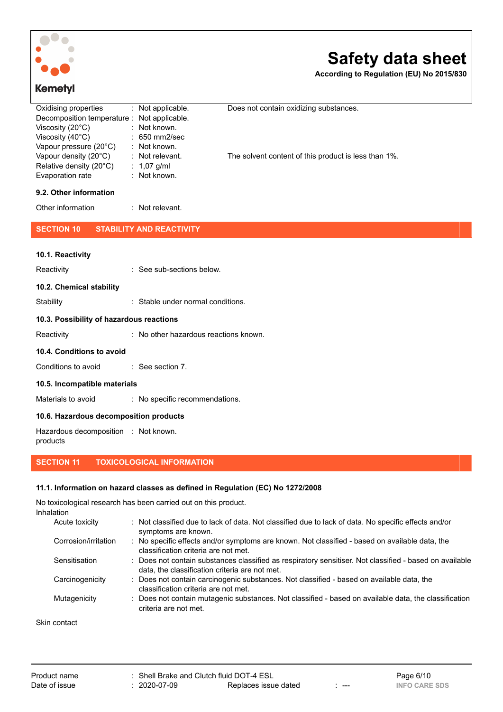

**According to Regulation (EU) No 2015/830**

| Oxidising properties                        | $:$ Not applicable. | Does not contain oxidizing substances.               |
|---------------------------------------------|---------------------|------------------------------------------------------|
| Decomposition temperature : Not applicable. |                     |                                                      |
| Viscosity $(20^{\circ}C)$                   | $:$ Not known.      |                                                      |
| Viscosity $(40^{\circ}C)$                   | $: 650$ mm2/sec     |                                                      |
| Vapour pressure (20°C)                      | $:$ Not known.      |                                                      |
| Vapour density (20°C)                       | $:$ Not relevant.   | The solvent content of this product is less than 1%. |
| Relative density (20°C)                     | : $1,07$ g/ml       |                                                      |
| Evaporation rate                            | $:$ Not known.      |                                                      |

### **9.2. Other information**

# Other information : Not relevant.

**SECTION 10 STABILITY AND REACTIVITY**

| 10.1. Reactivity                         |                                              |
|------------------------------------------|----------------------------------------------|
| Reactivity                               | : See sub-sections below.                    |
| 10.2. Chemical stability                 |                                              |
| Stability                                | $\therefore$ Stable under normal conditions. |
| 10.3. Possibility of hazardous reactions |                                              |
| Reactivity                               | : No other hazardous reactions known.        |
| 10.4. Conditions to avoid                |                                              |
| Conditions to avoid                      | $\therefore$ See section 7.                  |
| 10.5. Incompatible materials             |                                              |
|                                          |                                              |

Materials to avoid : No specific recommendations.

### **10.6. Hazardous decomposition products**

Hazardous decomposition : Not known. products

# **SECTION 11 TOXICOLOGICAL INFORMATION**

### **11.1. Information on hazard classes as defined in Regulation (EC) No 1272/2008**

No toxicological research has been carried out on this product. Inhalation

| .                    |                                                                                                                                                           |
|----------------------|-----------------------------------------------------------------------------------------------------------------------------------------------------------|
| Acute toxicity       | : Not classified due to lack of data. Not classified due to lack of data. No specific effects and/or<br>symptoms are known.                               |
| Corrosion/irritation | : No specific effects and/or symptoms are known. Not classified - based on available data, the<br>classification criteria are not met.                    |
| Sensitisation        | : Does not contain substances classified as respiratory sensitiser. Not classified - based on available<br>data, the classification criteria are not met. |
| Carcinogenicity      | : Does not contain carcinogenic substances. Not classified - based on available data, the<br>classification criteria are not met.                         |
| Mutagenicity         | : Does not contain mutagenic substances. Not classified - based on available data, the classification<br>criteria are not met.                            |
|                      |                                                                                                                                                           |

Skin contact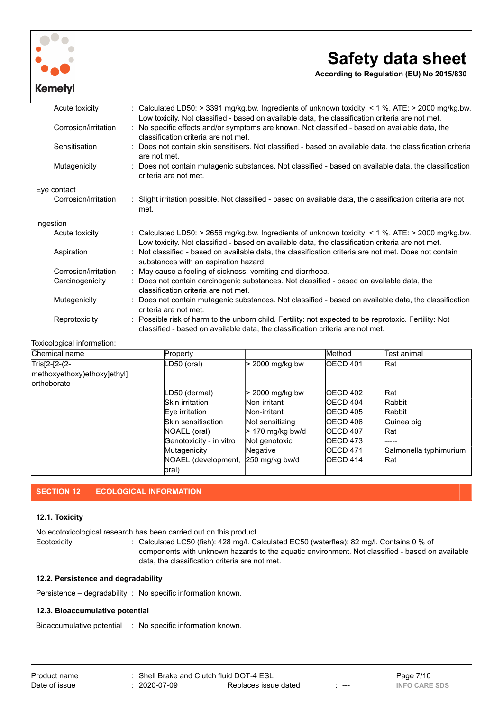

**According to Regulation (EU) No 2015/830**

| Acute toxicity       | Calculated LD50: > 3391 mg/kg.bw. Ingredients of unknown toxicity: < 1 %. ATE: > 2000 mg/kg.bw.                                                                                                                                            |
|----------------------|--------------------------------------------------------------------------------------------------------------------------------------------------------------------------------------------------------------------------------------------|
| Corrosion/irritation | Low toxicity. Not classified - based on available data, the classification criteria are not met.<br>: No specific effects and/or symptoms are known. Not classified - based on available data, the<br>classification criteria are not met. |
| Sensitisation        | : Does not contain skin sensitisers. Not classified - based on available data, the classification criteria<br>are not met.                                                                                                                 |
| Mutagenicity         | Does not contain mutagenic substances. Not classified - based on available data, the classification<br>criteria are not met.                                                                                                               |
| Eye contact          |                                                                                                                                                                                                                                            |
| Corrosion/irritation | : Slight irritation possible. Not classified - based on available data, the classification criteria are not<br>met.                                                                                                                        |
| Ingestion            |                                                                                                                                                                                                                                            |
| Acute toxicity       | : Calculated LD50: > 2656 mg/kg.bw. Ingredients of unknown toxicity: < 1 %. ATE: > 2000 mg/kg.bw.<br>Low toxicity. Not classified - based on available data, the classification criteria are not met.                                      |
| Aspiration           | : Not classified - based on available data, the classification criteria are not met. Does not contain<br>substances with an aspiration hazard.                                                                                             |
| Corrosion/irritation | : May cause a feeling of sickness, vomiting and diarrhoea.                                                                                                                                                                                 |
| Carcinogenicity      | : Does not contain carcinogenic substances. Not classified - based on available data, the<br>classification criteria are not met.                                                                                                          |
| Mutagenicity         | Does not contain mutagenic substances. Not classified - based on available data, the classification<br>criteria are not met.                                                                                                               |
| Reprotoxicity        | Possible risk of harm to the unborn child. Fertility: not expected to be reprotoxic. Fertility: Not<br>classified - based on available data, the classification criteria are not met.                                                      |

### Toxicological information:

| Chemical name               | Property                    |                    | <b>Method</b>    | lTest animal           |
|-----------------------------|-----------------------------|--------------------|------------------|------------------------|
| Tris[2-[2-(2-               | LD50 (oral)                 | 2000 mg/kg bw      | <b>OECD 401</b>  | Rat                    |
| methoxyethoxy)ethoxy]ethyl] |                             |                    |                  |                        |
| <b>lorthoborate</b>         |                             |                    |                  |                        |
|                             | LD50 (dermal)               | > 2000 mg/kg bw    | OECD 402         | <b>Rat</b>             |
|                             | <b>I</b> Skin irritation    | Non-irritant       | <b>IOECD 404</b> | <b>Rabbit</b>          |
|                             | Eye irritation              | Non-irritant       | <b>IOECD 405</b> | <b>Rabbit</b>          |
|                             | <b>I</b> Skin sensitisation | Not sensitizing    | OECD 406         | Guinea pig             |
|                             | NOAEL (oral)                | $> 170$ mg/kg bw/d | <b>IOECD 407</b> | <b>Rat</b>             |
|                             | Genotoxicity - in vitro     | Not genotoxic      | <b>IOECD 473</b> | -----                  |
|                             | Mutagenicity                | Negative           | <b>IOECD 471</b> | Salmonella typhimurium |
|                             | NOAEL (development,         | 250 mg/kg bw/d     | <b>IOECD 414</b> | Rat                    |
|                             | oral)                       |                    |                  |                        |

### **SECTION 12 ECOLOGICAL INFORMATION**

### **12.1. Toxicity**

No ecotoxicological research has been carried out on this product. Ecotoxicity : Calculated LC50 (fish): 428 mg/l. Calculated EC50 (waterflea): 82 mg/l. Contains 0 % of components with unknown hazards to the aquatic environment. Not classified - based on available data, the classification criteria are not met.

### **12.2. Persistence and degradability**

Persistence – degradability : No specific information known.

### **12.3. Bioaccumulative potential**

Bioaccumulative potential : No specific information known.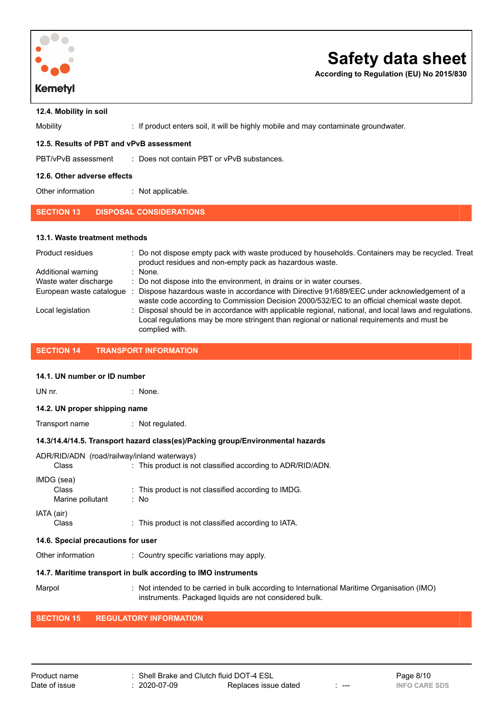

**According to Regulation (EU) No 2015/830**

**12.4. Mobility in soil**

Mobility **included in the U.S. If product enters soil, it will be highly mobile and may contaminate groundwater.** 

### **12.5. Results of PBT and vPvB assessment**

| PBT/vPvB assessment | Does not contain PBT or vPvB substances. |
|---------------------|------------------------------------------|
|                     |                                          |

### **12.6. Other adverse effects**

Other information : Not applicable.

### **SECTION 13 DISPOSAL CONSIDERATIONS**

### **13.1. Waste treatment methods**

| Product residues         | : Do not dispose empty pack with waste produced by households. Containers may be recycled. Treat<br>product residues and non-empty pack as hazardous waste.                                                            |
|--------------------------|------------------------------------------------------------------------------------------------------------------------------------------------------------------------------------------------------------------------|
| Additional warning       | $:$ None.                                                                                                                                                                                                              |
| Waste water discharge    | : Do not dispose into the environment, in drains or in water courses.                                                                                                                                                  |
| European waste catalogue | Dispose hazardous waste in accordance with Directive 91/689/EEC under acknowledgement of a<br>waste code according to Commission Decision 2000/532/EC to an official chemical waste depot.                             |
| Local legislation        | : Disposal should be in accordance with applicable regional, national, and local laws and regulations.<br>Local regulations may be more stringent than regional or national requirements and must be<br>complied with. |

### **SECTION 14 TRANSPORT INFORMATION**

### **14.1. UN number or ID number**

UN nr. : None.

**14.2. UN proper shipping name**

Transport name : Not regulated.

### **14.3/14.4/14.5. Transport hazard class(es)/Packing group/Environmental hazards**

|                  | ADR/RID/ADN (road/railway/inland waterways)                    |
|------------------|----------------------------------------------------------------|
| Class            | : This product is not classified according to ADR/RID/ADN.     |
| IMDG (sea)       |                                                                |
| Class            | $\therefore$ This product is not classified according to IMDG. |
| Marine pollutant | : No                                                           |
| IATA (air)       |                                                                |
| Class            | : This product is not classified according to IATA.            |
|                  |                                                                |

### **14.6. Special precautions for user**

Other information : Country specific variations may apply.

### **14.7. Maritime transport in bulk according to IMO instruments**

Marpol : Not intended to be carried in bulk according to International Maritime Organisation (IMO) instruments. Packaged liquids are not considered bulk.

## **SECTION 15 REGULATORY INFORMATION**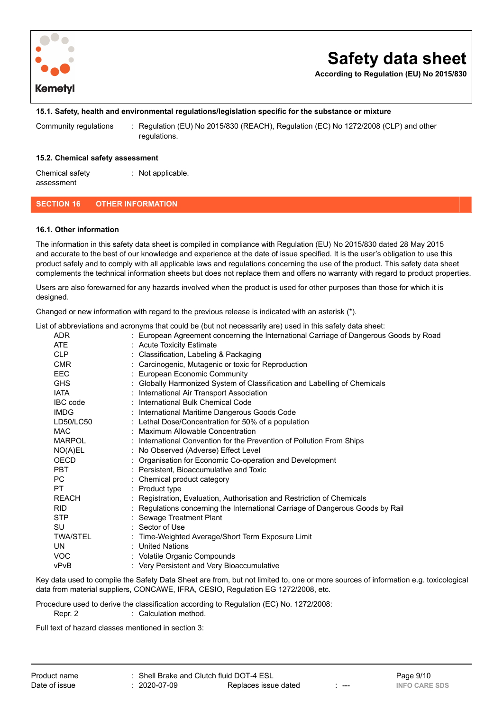

**According to Regulation (EU) No 2015/830**

### **15.1. Safety, health and environmental regulations/legislation specific for the substance or mixture**

Community regulations : Regulation (EU) No 2015/830 (REACH), Regulation (EC) No 1272/2008 (CLP) and other regulations.

### **15.2. Chemical safety assessment**

Chemical safety assessment : Not applicable.

### **SECTION 16 OTHER INFORMATION**

#### **16.1. Other information**

The information in this safety data sheet is compiled in compliance with Regulation (EU) No 2015/830 dated 28 May 2015 and accurate to the best of our knowledge and experience at the date of issue specified. It is the user's obligation to use this product safely and to comply with all applicable laws and regulations concerning the use of the product. This safety data sheet complements the technical information sheets but does not replace them and offers no warranty with regard to product properties.

Users are also forewarned for any hazards involved when the product is used for other purposes than those for which it is designed.

Changed or new information with regard to the previous release is indicated with an asterisk (\*).

List of abbreviations and acronyms that could be (but not necessarily are) used in this safety data sheet:

ADR : European Agreement concerning the International Carriage of Dangerous Goods by Road

| ADR             | . European Agreement concerning the international Carnage or Dangerous Goods by Road |
|-----------------|--------------------------------------------------------------------------------------|
| ATE             | : Acute Toxicity Estimate                                                            |
| <b>CLP</b>      | : Classification, Labeling & Packaging                                               |
| <b>CMR</b>      | : Carcinogenic, Mutagenic or toxic for Reproduction                                  |
| EEC.            | <b>European Economic Community</b>                                                   |
| <b>GHS</b>      | : Globally Harmonized System of Classification and Labelling of Chemicals            |
| <b>IATA</b>     | : International Air Transport Association                                            |
| IBC code        | : International Bulk Chemical Code                                                   |
| <b>IMDG</b>     | : International Maritime Dangerous Goods Code                                        |
| LD50/LC50       | : Lethal Dose/Concentration for 50% of a population                                  |
| <b>MAC</b>      | : Maximum Allowable Concentration                                                    |
| MARPOL          | : International Convention for the Prevention of Pollution From Ships                |
| NO(A)EL         | : No Observed (Adverse) Effect Level                                                 |
| <b>OECD</b>     | : Organisation for Economic Co-operation and Development                             |
| <b>PBT</b>      | : Persistent, Bioaccumulative and Toxic                                              |
| PC.             | : Chemical product category                                                          |
| PT.             | : Product type                                                                       |
| <b>REACH</b>    | : Registration, Evaluation, Authorisation and Restriction of Chemicals               |
| <b>RID</b>      | : Regulations concerning the International Carriage of Dangerous Goods by Rail       |
| <b>STP</b>      | : Sewage Treatment Plant                                                             |
| SU              | : Sector of Use                                                                      |
| <b>TWA/STEL</b> | : Time-Weighted Average/Short Term Exposure Limit                                    |
| UN.             | : United Nations                                                                     |
| VOC.            | : Volatile Organic Compounds                                                         |
| vPvB            | : Very Persistent and Very Bioaccumulative                                           |
|                 |                                                                                      |

Key data used to compile the Safety Data Sheet are from, but not limited to, one or more sources of information e.g. toxicological data from material suppliers, CONCAWE, IFRA, CESIO, Regulation EG 1272/2008, etc.

Procedure used to derive the classification according to Regulation (EC) No. 1272/2008:

Repr. 2 : Calculation method.

Full text of hazard classes mentioned in section 3: